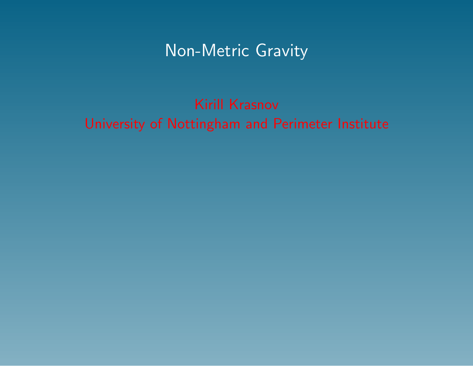# Non-Metric Gravity

# Kirill Krasnov University of Nottingham and Perimeter Institute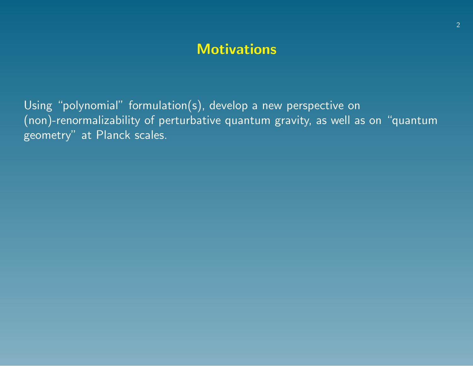# **Motivations**

Using "polynomial" formulation(s), develop a new perspective on (non)-renormalizability of perturbative quantum gravity, as well as on "quantum geometry" at Planck scales.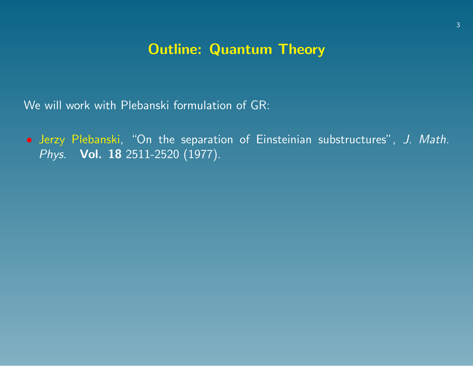# Outline: Quantum Theory

We will work with Plebanski formulation of GR:

• Jerzy Plebanski, "On the separation of Einsteinian substructures", J. Math. Phys. **Vol. 18** 2511-2520 (1977).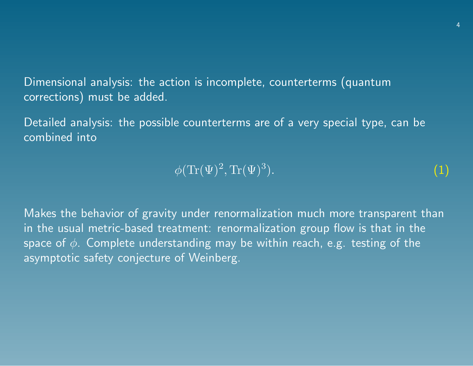Dimensional analysis: the action is incomplete, counterterms (quantum corrections) must be added.

Detailed analysis: the possible counterterms are of a very special type, can be combined into

#### $\phi(\text{Tr}(\Psi)^2,\text{Tr}(\Psi)^3$ ). (1)

Makes the behavior of gravity under renormalization much more transparent than in the usual metric-based treatment: renormalization group flow is that in the space of  $\phi$ . Complete understanding may be within reach, e.g. testing of the asymptotic safety conjecture of Weinberg.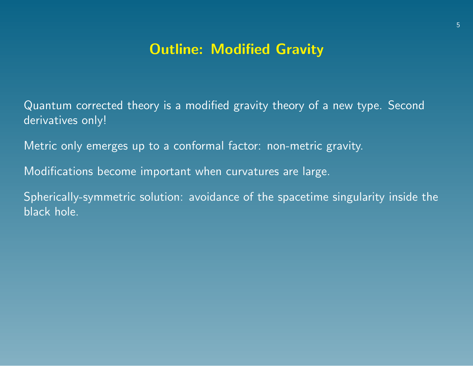# Outline: Modified Gravity

Quantum corrected theory is a modified gravity theory of a new type. Second derivatives only!

Metric only emerges up to a conformal factor: non-metric gravity.

Modifications become important when curvatures are large.

Spherically-symmetric solution: avoidance of the spacetime singularity inside the black hole.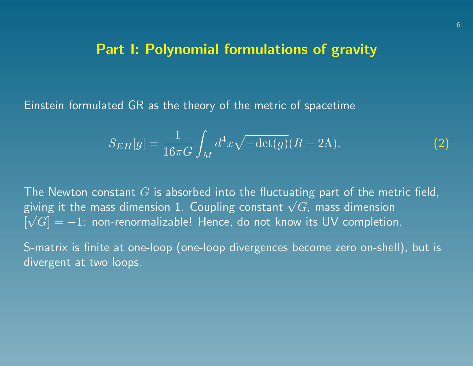#### Part I: Polynomial formulations of gravity

Einstein formulated GR as the theory of the metric of spacetime

$$
S_{EH}[g] = \frac{1}{16\pi G} \int_M d^4x \sqrt{-\det(g)} (R - 2\Lambda). \tag{2}
$$

The Newton constant  $G$  is absorbed into the fluctuating part of the metric field, The Newton constant G is absorbed into the fluctuating part of the met<br>giving it the mass dimension 1. Coupling constant  $\sqrt{G}$ , mass dimension  $\lceil\sqrt{G}\rceil=-1$ : non-renormalizable! Hence, do not know its UV completion.

S-matrix is finite at one-loop (one-loop divergences become zero on-shell), but is divergent at two loops.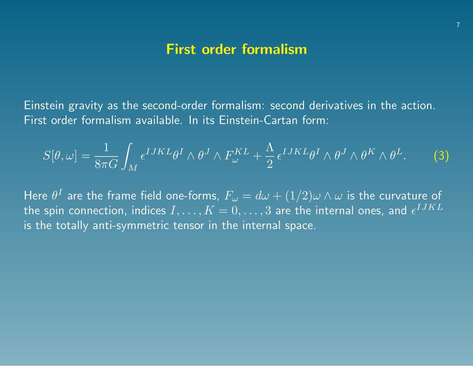## First order formalism

Einstein gravity as the second-order formalism: second derivatives in the action. First order formalism available. In its Einstein-Cartan form:

$$
S[\theta,\omega] = \frac{1}{8\pi G} \int_M \epsilon^{IJKL} \theta^I \wedge \theta^J \wedge F_{\omega}^{KL} + \frac{\Lambda}{2} \epsilon^{IJKL} \theta^I \wedge \theta^J \wedge \theta^K \wedge \theta^L.
$$
 (3)

Here  $\theta^I$  are the frame field one-forms,  $F_\omega = d\omega + (1/2) \omega \wedge \omega$  is the curvature of the spin connection, indices  $I,\ldots,K=0,\ldots,3$  are the internal ones, and  $\epsilon^{IJKL}$ is the totally anti-symmetric tensor in the internal space.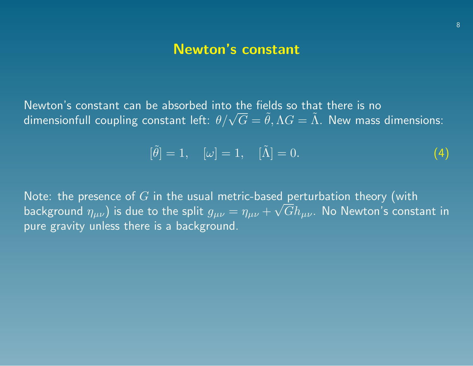## Newton's constant

Newton's constant can be absorbed into the fields so that there is no ινewton s constant can be absorbed into the fields so that there is no<br>dimensionfull coupling constant left:  $\theta/\sqrt{G} = \tilde{\theta}, \Lambda G = \tilde{\Lambda}.$  New mass dimensions:

$$
[\tilde{\theta}] = 1, \quad [\omega] = 1, \quad [\tilde{\Lambda}] = 0. \tag{4}
$$

Note: the presence of  $G$  in the usual metric-based perturbation theory (with background  $\eta_{\mu\nu})$  is due to the split  $g_{\mu\nu}=\eta_{\mu\nu}+\sqrt{G}h_{\mu\nu}.$  No Newton's constant in pure gravity unless there is a background.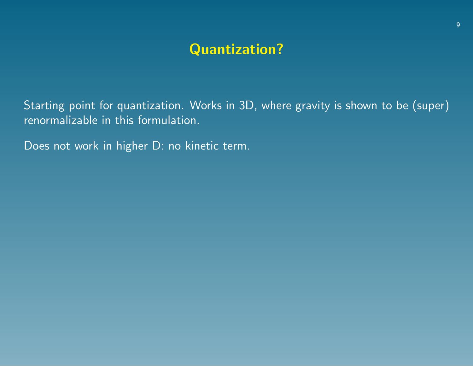# Quantization?

Starting point for quantization. Works in 3D, where gravity is shown to be (super) renormalizable in this formulation.

Does not work in higher D: no kinetic term.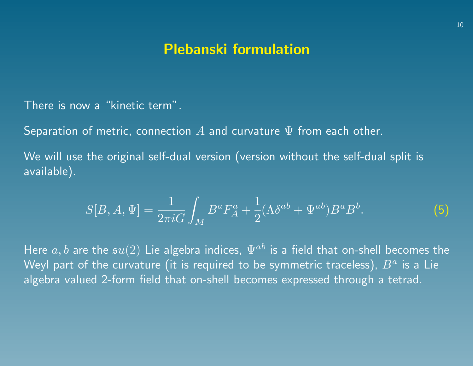#### Plebanski formulation

There is now a "kinetic term".

Separation of metric, connection  $A$  and curvature  $\Psi$  from each other.

We will use the original self-dual version (version without the self-dual split is available).

$$
S[B, A, \Psi] = \frac{1}{2\pi i G} \int_M B^a F_A^a + \frac{1}{2} (\Lambda \delta^{ab} + \Psi^{ab}) B^a B^b. \tag{5}
$$

Here  $\overline{a}, \overline{b}$  are the  $\mathfrak{su}(2)$  Lie algebra indices,  $\Psi^{ab}$  is a field that on-shell becomes the Weyl part of the curvature (it is required to be symmetric traceless),  $B^a$  is a Lie algebra valued 2-form field that on-shell becomes expressed through a tetrad.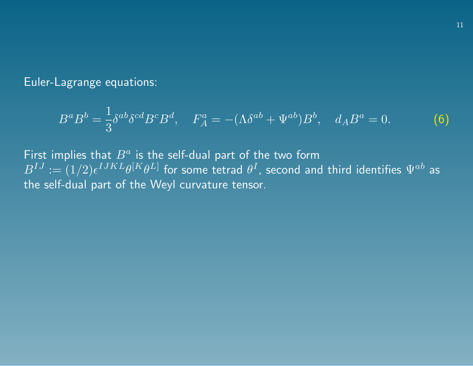Euler-Lagrange equations:

$$
B^a B^b = \frac{1}{3} \delta^{ab} \delta^{cd} B^c B^d, \quad F_A^a = -(\Lambda \delta^{ab} + \Psi^{ab}) B^b, \quad d_A B^a = 0. \tag{6}
$$

First implies that  $B^a$  is the self-dual part of the two form  $B^{IJ}:=(1/2)\epsilon^{IJKL}\theta^{[K}\theta^{L]}$  for some tetrad  $\theta^I$ , second and third identifies  $\Psi^{ab}$  as the self-dual part of the Weyl curvature tensor.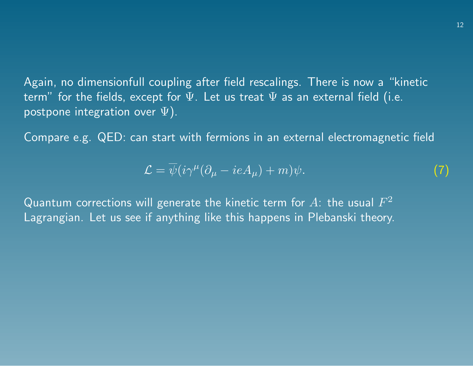Again, no dimensionfull coupling after field rescalings. There is now a "kinetic term" for the fields, except for  $\Psi$ . Let us treat  $\Psi$  as an external field (i.e. postpone integration over  $\Psi$ ).

Compare e.g. QED: can start with fermions in an external electromagnetic field

$$
\mathcal{L} = \overline{\psi}(i\gamma^{\mu}(\partial_{\mu} - ieA_{\mu}) + m)\psi.
$$
 (7)

Quantum corrections will generate the kinetic term for  $A$ : the usual  $F^2$ Lagrangian. Let us see if anything like this happens in Plebanski theory.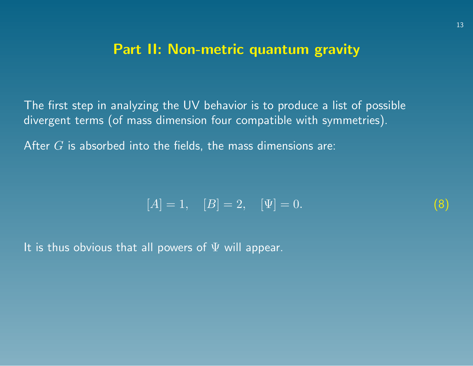## Part II: Non-metric quantum gravity

The first step in analyzing the UV behavior is to produce a list of possible divergent terms (of mass dimension four compatible with symmetries).

After  $G$  is absorbed into the fields, the mass dimensions are:

$$
[A] = 1, \quad [B] = 2, \quad [\Psi] = 0. \tag{8}
$$

It is thus obvious that all powers of  $\Psi$  will appear.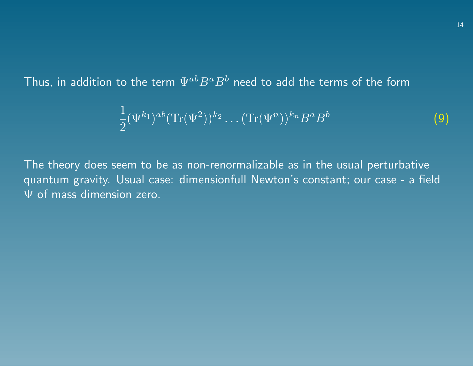Thus, in addition to the term  $\Psi^{ab}B^aB^b$  need to add the terms of the form

$$
\frac{1}{2}(\Psi^{k_1})^{ab}(\text{Tr}(\Psi^2))^{k_2}\dots(\text{Tr}(\Psi^n))^{k_n}B^aB^b\tag{9}
$$

The theory does seem to be as non-renormalizable as in the usual perturbative quantum gravity. Usual case: dimensionfull Newton's constant; our case - a field  $\Psi$  of mass dimension zero.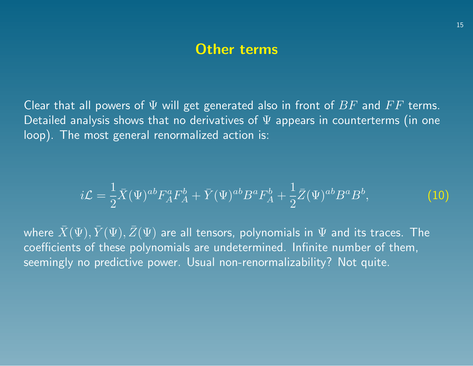#### Other terms

Clear that all powers of  $\Psi$  will get generated also in front of  $BF$  and  $FF$  terms. Detailed analysis shows that no derivatives of  $\Psi$  appears in counterterms (in one loop). The most general renormalized action is:

$$
i\mathcal{L} = \frac{1}{2}\bar{X}(\Psi)^{ab}F_A^aF_A^b + \bar{Y}(\Psi)^{ab}B^aF_A^b + \frac{1}{2}\bar{Z}(\Psi)^{ab}B^aB^b,
$$
 (10)

where  $\bar{X}(\Psi),\bar{Y}(\Psi),\bar{Z}(\Psi)$  are all tensors, polynomials in  $\Psi$  and its traces. The coefficients of these polynomials are undetermined. Infinite number of them, seemingly no predictive power. Usual non-renormalizability? Not quite.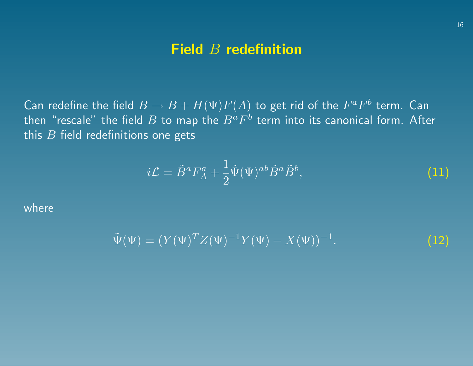## Field B redefinition

Can redefine the field  $B\to B+H(\Psi)F(A)$  to get rid of the  $F^aF^b$  term. Can then "rescale" the field  $B$  to map the  $B^aF^b$  term into its canonical form. After this  $B$  field redefinitions one gets

$$
i\mathcal{L} = \tilde{B}^a F_A^a + \frac{1}{2} \tilde{\Psi}(\Psi)^{ab} \tilde{B}^a \tilde{B}^b, \tag{11}
$$

where

$$
\tilde{\Psi}(\Psi) = (Y(\Psi)^T Z(\Psi)^{-1} Y(\Psi) - X(\Psi))^{-1}.
$$
\n(12)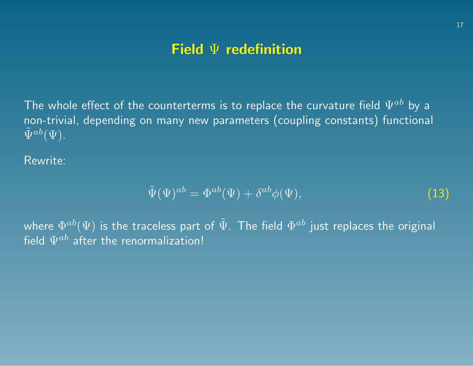# Field  $\Psi$  redefinition

The whole effect of the counterterms is to replace the curvature field  $\Psi^{ab}$  by a non-trivial, depending on many new parameters (coupling constants) functional  $\widetilde{\Psi}^{ab}(\overline{\Psi}).$ 

Rewrite:

$$
\tilde{\Psi}(\Psi)^{ab} = \Phi^{ab}(\Psi) + \delta^{ab}\phi(\Psi),\tag{13}
$$

where  $\Phi^{ab}(\Psi)$  is the traceless part of  $\tilde{\Psi}.$  The field  $\Phi^{ab}$  just replaces the original field  $\Psi^{ab}$  after the renormalization!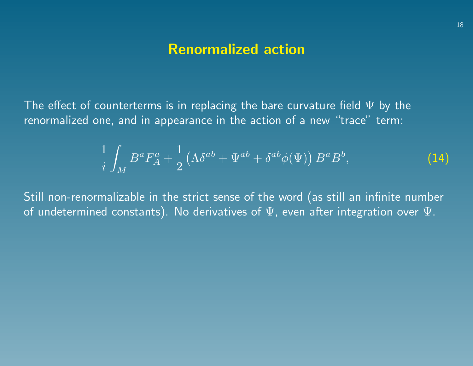## Renormalized action

The effect of counterterms is in replacing the bare curvature field  $\Psi$  by the renormalized one, and in appearance in the action of a new "trace" term:

$$
\frac{1}{i} \int_M B^a F_A^a + \frac{1}{2} \left( \Lambda \delta^{ab} + \Psi^{ab} + \delta^{ab} \phi(\Psi) \right) B^a B^b, \tag{14}
$$

Still non-renormalizable in the strict sense of the word (as still an infinite number of undetermined constants). No derivatives of  $\Psi$ , even after integration over  $\Psi$ .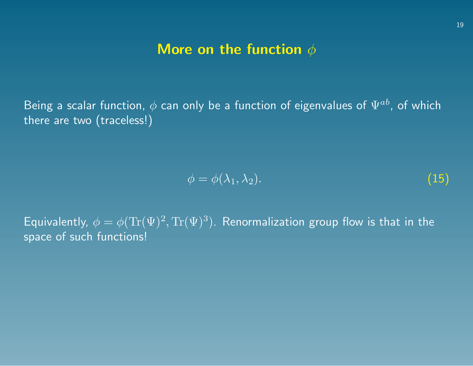## More on the function  $\phi$

Being a scalar function,  $\phi$  can only be a function of eigenvalues of  $\Psi^{ab}$ , of which there are two (traceless!)

$$
\phi = \phi(\lambda_1, \lambda_2). \tag{15}
$$

Equivalently,  $\phi = \phi(\text{Tr}(\Psi)^2, \text{Tr}(\Psi)^3)$ . Renormalization group flow is that in the space of such functions!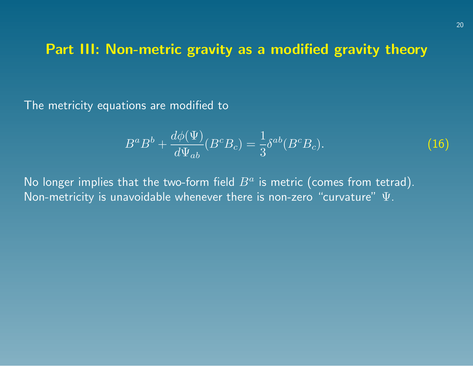# Part III: Non-metric gravity as a modified gravity theory

The metricity equations are modified to

$$
B^a B^b + \frac{d\phi(\Psi)}{d\Psi_{ab}} (B^c B_c) = \frac{1}{3} \delta^{ab} (B^c B_c). \tag{16}
$$

No longer implies that the two-form field  $B^a$  is metric (comes from tetrad). Non-metricity is unavoidable whenever there is non-zero "curvature"  $\Psi$ .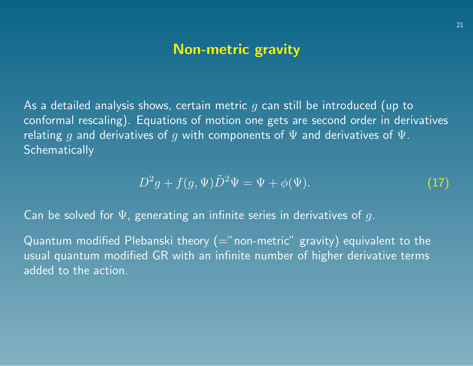## Non-metric gravity

As a detailed analysis shows, certain metric  $g$  can still be introduced (up to conformal rescaling). Equations of motion one gets are second order in derivatives relating q and derivatives of q with components of  $\Psi$  and derivatives of  $\Psi$ . **Schematically** 

$$
D^2g + f(g, \Psi)\tilde{D}^2\Psi = \Psi + \phi(\Psi). \tag{17}
$$

Can be solved for  $\Psi$ , generating an infinite series in derivatives of g.

Quantum modified Plebanski theory (="non-metric" gravity) equivalent to the usual quantum modified GR with an infinite number of higher derivative terms added to the action.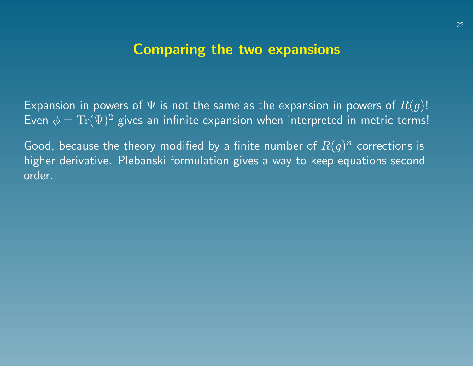#### Comparing the two expansions

Expansion in powers of  $\Psi$  is not the same as the expansion in powers of  $R(g)!$ Even  $\phi = \text{Tr}(\Psi)^2$  gives an infinite expansion when interpreted in metric terms!

Good, because the theory modified by a finite number of  $R(g)^n$  corrections is higher derivative. Plebanski formulation gives a way to keep equations second order.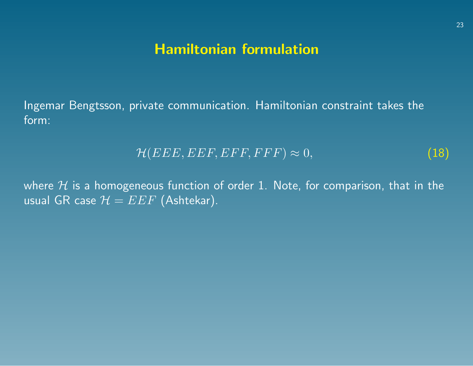# Hamiltonian formulation

Ingemar Bengtsson, private communication. Hamiltonian constraint takes the form:

$$
\mathcal{H}(EEE, EEF, EFF, FFF) \approx 0,\tag{18}
$$

where  $H$  is a homogeneous function of order 1. Note, for comparison, that in the usual GR case  $\mathcal{H} = E E F$  (Ashtekar).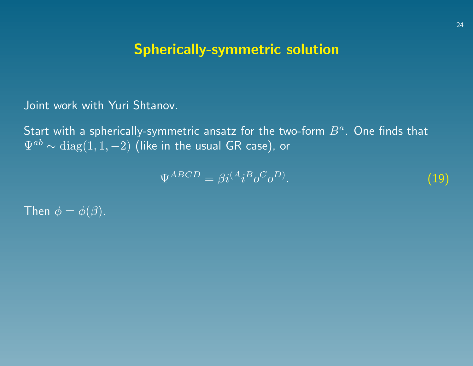# Spherically-symmetric solution

Joint work with Yuri Shtanov.

Start with a spherically-symmetric ansatz for the two-form  $B^a.$  One finds that  $\Psi^{ab} \sim \text{diag}(1,1,-2)$  (like in the usual GR case), or

$$
\Psi^{ABCD} = \beta i^{(A} i^B o^C o^D). \tag{19}
$$

Then  $\phi = \phi(\beta)$ .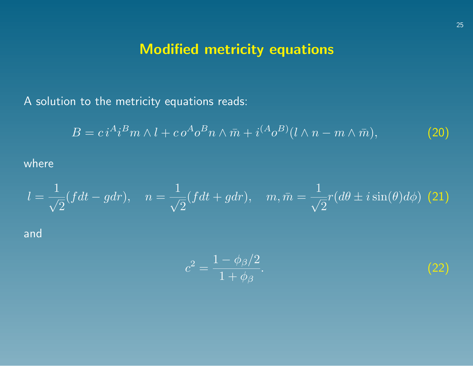# Modified metricity equations

A solution to the metricity equations reads:

$$
B = c i^A i^B m \wedge l + c o^A o^B n \wedge \bar{m} + i^{(A} o^B) (l \wedge n - m \wedge \bar{m}), \tag{20}
$$

where

$$
l = \frac{1}{\sqrt{2}}(fdt - gdr), \quad n = \frac{1}{\sqrt{2}}(fdt + gdr), \quad m, \bar{m} = \frac{1}{\sqrt{2}}r(d\theta \pm i\sin(\theta)d\phi)
$$
 (21)  
and

$$
c^2 = \frac{1 - \phi_\beta/2}{1 + \phi_\beta}.\tag{22}
$$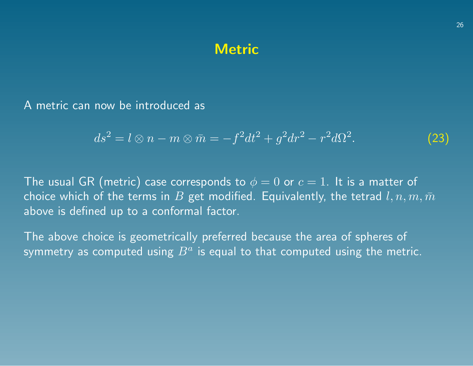#### **Metric**

A metric can now be introduced as

$$
ds^{2} = l \otimes n - m \otimes \bar{m} = -f^{2}dt^{2} + g^{2}dr^{2} - r^{2}d\Omega^{2}.
$$
 (23)

The usual GR (metric) case corresponds to  $\phi = 0$  or  $c = 1$ . It is a matter of choice which of the terms in  $B$  get modified. Equivalently, the tetrad  $l, n, m, \bar{m}$ above is defined up to a conformal factor.

The above choice is geometrically preferred because the area of spheres of symmetry as computed using  $B^a$  is equal to that computed using the metric.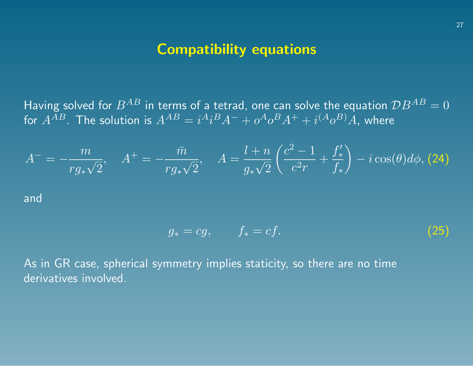## Compatibility equations

Having solved for  $B^{AB}$  in terms of a tetrad, one can solve the equation  $\mathcal{D}B^{AB}=0$ for  $A^{AB}.$  The solution is  $A^{AB}=i^Ai^BA^-+o^Ao^BA^++i^{(A}o^B)A,$  where

$$
A^{-} = -\frac{m}{rg_{*}\sqrt{2}}, \quad A^{+} = -\frac{\bar{m}}{rg_{*}\sqrt{2}}, \quad A = \frac{l+n}{g_{*}\sqrt{2}}\left(\frac{c^{2}-1}{c^{2}r} + \frac{f'_{*}}{f_{*}}\right) - i\cos(\theta)d\phi, \text{(24)}
$$

and

$$
g_* = cg, \qquad f_* = cf. \tag{25}
$$

As in GR case, spherical symmetry implies staticity, so there are no time derivatives involved.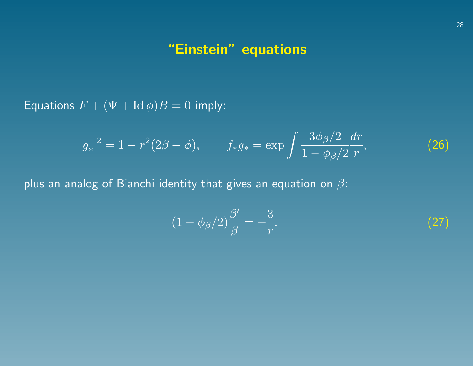# "Einstein" equations

Equations  $F + (\Psi + \mathrm{Id} \phi)B = 0$  imply:

$$
g_*^{-2} = 1 - r^2(2\beta - \phi), \qquad f_*g_* = \exp\int \frac{3\phi_\beta/2}{1 - \phi_\beta/2} \frac{dr}{r}, \tag{26}
$$

plus an analog of Bianchi identity that gives an equation on  $\beta$ :

$$
(1 - \phi_{\beta}/2)\frac{\beta'}{\beta} = -\frac{3}{r}.\tag{27}
$$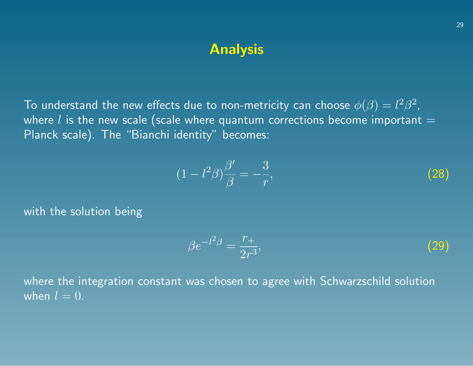### Analysis

To understand the new effects due to non-metricity can choose  $\phi(\beta) = l^2 \beta^2$ , where  $l$  is the new scale (scale where quantum corrections become important  $=$ Planck scale). The "Bianchi identity" becomes:

$$
(1 - l^2 \beta) \frac{\beta'}{\beta} = -\frac{3}{r},\tag{28}
$$

with the solution being

$$
\beta e^{-l^2 \beta} = \frac{r_+}{2r^3},\tag{29}
$$

where the integration constant was chosen to agree with Schwarzschild solution when  $l = 0$ .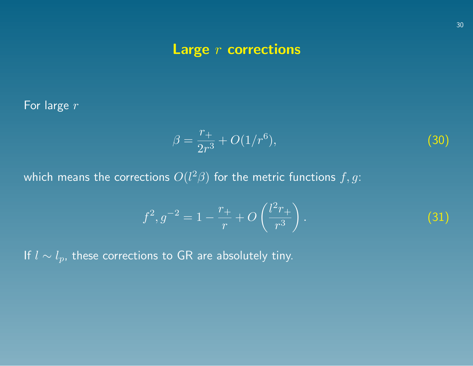# Large  $r$  corrections

For large r

$$
\beta = \frac{r_+}{2r^3} + O(1/r^6),\tag{30}
$$

which means the corrections  $O(l^2\beta)$  for the metric functions  $f,g$ :

$$
f^{2}, g^{-2} = 1 - \frac{r_{+}}{r} + O\left(\frac{l^{2}r_{+}}{r^{3}}\right).
$$
 (31)

If  $l \sim l_p$ , these corrections to GR are absolutely tiny.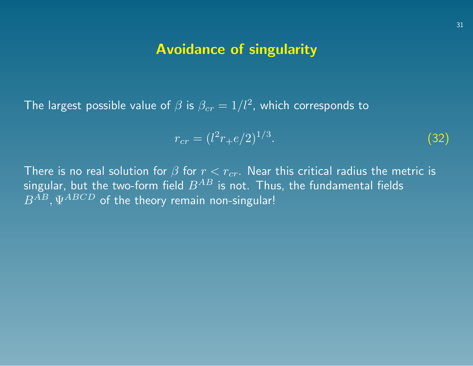#### Avoidance of singularity

The largest possible value of  $\beta$  is  $\beta_{cr}=1/l^2$ , which corresponds to

$$
r_{cr} = (l^2 r_+ e/2)^{1/3}.\tag{32}
$$

There is no real solution for  $\beta$  for  $r < r_{cr}$ . Near this critical radius the metric is singular, but the two-form field  $B^{AB}$  is not. Thus, the fundamental fields  $B^{AB},\Psi^{ABCD}$  of the theory remain non-singular!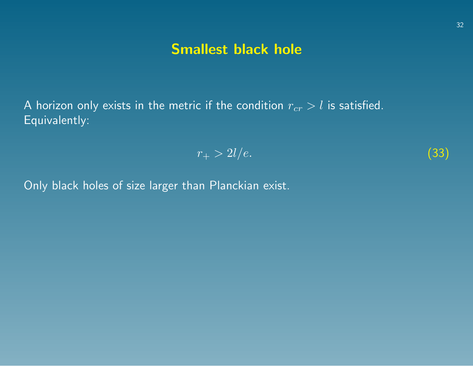# Smallest black hole

A horizon only exists in the metric if the condition  $r_{cr} > l$  is satisfied. Equivalently:

$$
r_{+} > 2l/e. \tag{33}
$$

Only black holes of size larger than Planckian exist.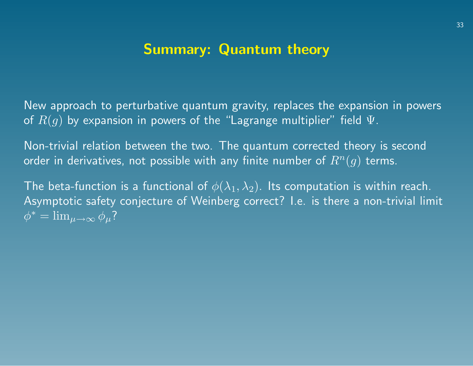# Summary: Quantum theory

New approach to perturbative quantum gravity, replaces the expansion in powers of  $R(g)$  by expansion in powers of the "Lagrange multiplier" field  $\Psi$ .

Non-trivial relation between the two. The quantum corrected theory is second order in derivatives, not possible with any finite number of  $R^n(q)$  terms.

The beta-function is a functional of  $\phi(\lambda_1, \lambda_2)$ . Its computation is within reach. Asymptotic safety conjecture of Weinberg correct? I.e. is there a non-trivial limit  $\phi^* = \lim_{\mu \to \infty} \phi_{\mu}$ ?